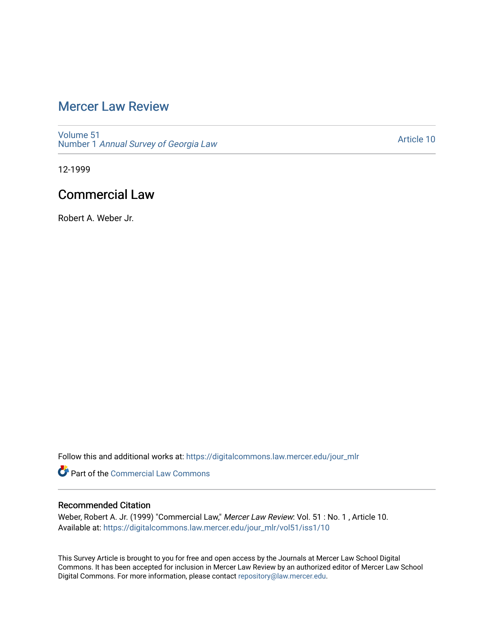## [Mercer Law Review](https://digitalcommons.law.mercer.edu/jour_mlr)

[Volume 51](https://digitalcommons.law.mercer.edu/jour_mlr/vol51) Number 1 [Annual Survey of Georgia Law](https://digitalcommons.law.mercer.edu/jour_mlr/vol51/iss1) 

[Article 10](https://digitalcommons.law.mercer.edu/jour_mlr/vol51/iss1/10) 

12-1999

## Commercial Law

Robert A. Weber Jr.

Follow this and additional works at: [https://digitalcommons.law.mercer.edu/jour\\_mlr](https://digitalcommons.law.mercer.edu/jour_mlr?utm_source=digitalcommons.law.mercer.edu%2Fjour_mlr%2Fvol51%2Fiss1%2F10&utm_medium=PDF&utm_campaign=PDFCoverPages)

**Part of the [Commercial Law Commons](http://network.bepress.com/hgg/discipline/586?utm_source=digitalcommons.law.mercer.edu%2Fjour_mlr%2Fvol51%2Fiss1%2F10&utm_medium=PDF&utm_campaign=PDFCoverPages)** 

### Recommended Citation

Weber, Robert A. Jr. (1999) "Commercial Law," Mercer Law Review: Vol. 51 : No. 1 , Article 10. Available at: [https://digitalcommons.law.mercer.edu/jour\\_mlr/vol51/iss1/10](https://digitalcommons.law.mercer.edu/jour_mlr/vol51/iss1/10?utm_source=digitalcommons.law.mercer.edu%2Fjour_mlr%2Fvol51%2Fiss1%2F10&utm_medium=PDF&utm_campaign=PDFCoverPages) 

This Survey Article is brought to you for free and open access by the Journals at Mercer Law School Digital Commons. It has been accepted for inclusion in Mercer Law Review by an authorized editor of Mercer Law School Digital Commons. For more information, please contact [repository@law.mercer.edu](mailto:repository@law.mercer.edu).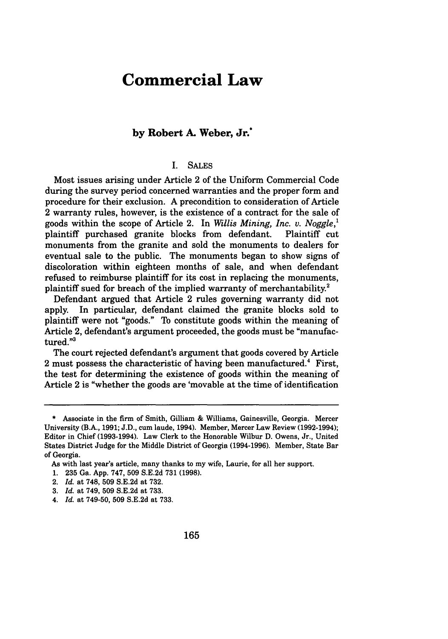# **Commercial Law**

### **by Robert A. Weber, Jr.\***

#### I. SALES

Most issues arising under Article 2 of the Uniform Commercial Code during the survey period concerned warranties and the proper form and procedure for their exclusion. A precondition to consideration of Article 2 warranty rules, however, is the existence of a contract for the sale of goods within the scope of Article 2. In *Willis Mining, Inc. v. Noggle,'* plaintiff purchased granite blocks from defendant. Plaintiff cut monuments from the granite and sold the monuments to dealers for eventual sale to the public. The monuments began to show signs of discoloration within eighteen months of sale, and when defendant refused to reimburse plaintiff for its cost in replacing the monuments, plaintiff sued for breach of the implied warranty of merchantability.<sup>2</sup>

Defendant argued that Article 2 rules governing warranty did not apply. In particular, defendant claimed the granite blocks sold to plaintiff were not "goods." To constitute goods within the meaning of Article 2, defendant's argument proceeded, the goods must be "manufactured."<sup>3</sup>

The court rejected defendant's argument that goods covered by Article 2 must possess the characteristic of having been manufactured.<sup>4</sup> First, the test for determining the existence of goods within the meaning of Article 2 is "whether the goods are 'movable at the time of identification

<sup>\*</sup> Associate in the firm of Smith, Gilliam & Williams, Gainesville, Georgia. Mercer University (B.A., 1991; J.D., cum laude, 1994). Member, Mercer Law Review (1992-1994); Editor in Chief (1993-1994). Law Clerk to the Honorable Wilbur D. Owens, Jr., United States District Judge for the Middle District of Georgia (1994-1996). Member, State Bar of Georgia.

As with last year's article, many thanks to my wife, Laurie, for all her support.

<sup>1. 235</sup> Ga. App. 747, 509 S.E.2d 731 (1998).

<sup>2.</sup> *Id.* at 748, 509 S.E.2d at 732.

<sup>3.</sup> *Id.* at 749, 509 S.E.2d at 733.

<sup>4.</sup> *Id.* at 749-50, **509** S.E.2d at 733.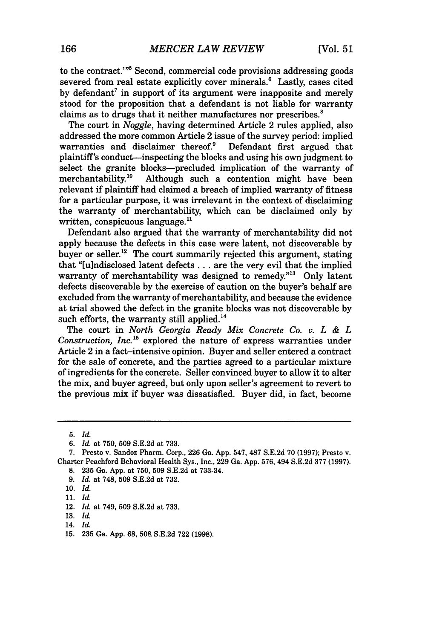to the contract."'5 Second, commercial code provisions addressing goods severed from real estate explicitly cover minerals.<sup>6</sup> Lastly, cases cited by defendant' in support of its argument were inapposite and merely stood for the proposition that a defendant is not liable for warranty claims as to drugs that it neither manufactures nor prescribes.'

The court in *Noggle,* having determined Article 2 rules applied, also addressed the more common Article 2 issue of the survey period: implied warranties and disclaimer thereof.<sup>9</sup> Defendant first argued that warranties and disclaimer thereof. $9$ plaintiff's conduct-inspecting the blocks and using his own judgment to select the granite blocks—precluded implication of the warranty of merchantability.<sup>10</sup> Although such a contention might have been Although such a contention might have been relevant if plaintiff had claimed a breach of implied warranty of fitness for a particular purpose, it was irrelevant in the context of disclaiming the warranty of merchantability, which can be disclaimed only by written, conspicuous language.<sup>11</sup>

Defendant also argued that the warranty of merchantability did not apply because the defects in this case were latent, not discoverable by buyer or seller.<sup>12</sup> The court summarily rejected this argument, stating that "[u]ndisclosed latent defects **...** are the very evil that the implied warranty of merchantability was designed to remedy."<sup>13</sup> Only latent defects discoverable by the exercise of caution on the buyer's behalf are excluded from the warranty of merchantability, and because the evidence at trial showed the defect in the granite blocks was not discoverable by such efforts, the warranty still applied.<sup>14</sup>

The court in *North Georgia Ready Mix Concrete Co. v. L & L Construction, Inc.*<sup>15</sup> explored the nature of express warranties under Article 2 in a fact-intensive opinion. Buyer and seller entered a contract for the sale of concrete, and the parties agreed to a particular mixture of ingredients for the concrete. Seller convinced buyer to allow it to alter the mix, and buyer agreed, but only upon seller's agreement to revert to the previous mix if buyer was dissatisfied. Buyer did, in fact, become

<sup>5.</sup> Id.

*<sup>6.</sup> Id.* at 750, 509 S.E.2d at 733.

<sup>7.</sup> Presto v. Sandoz Pharm. Corp., 226 Ga. App. 547, 487 S.E.2d 70 (1997); Presto v. Charter Peachford Behavioral Health Sys., Inc., 229 Ga. App. 576, 494 S.E.2d 377 (1997). 8. 235 Ga. App. at 750, 509 S.E.2d at 733-34.

*<sup>9.</sup> Id.* at 748, 509 S.E.2d at 732.

**<sup>10.</sup>** *Id.* 11. *Id.*

<sup>12.</sup> *Id.* at 749, 509 S.E.2d at 733.

<sup>13.</sup> *Id.*

<sup>14.</sup> *Id.*

<sup>15. 235</sup> Ga. App. 68, 508, S.E.2d 722 (1998).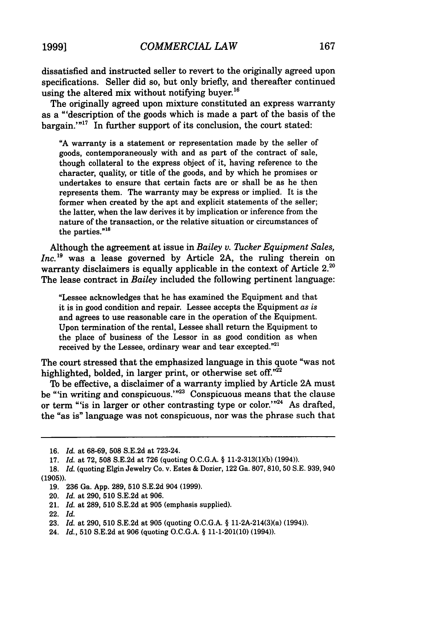dissatisfied and instructed seller to revert to the originally agreed upon specifications. Seller did so, but only briefly, and thereafter continued using the altered mix without notifying buyer.<sup>16</sup>

The originally agreed upon mixture constituted an express warranty as a "'description of the goods which is made a part of the basis of the bargain.'"<sup>17</sup> In further support of its conclusion, the court stated:

**"A** warranty is a statement or representation made by the seller of goods, contemporaneously with and as part of the contract of sale, though collateral to the express object of it, having reference to the character, quality, or title of the goods, and by which he promises or undertakes to ensure that certain facts are or shall be as he then represents them. The warranty may be express or implied. It is the former when created by the apt and explicit statements of the seller; the latter, when the law derives it by implication or inference from the nature of the transaction, or the relative situation or circumstances of the parties."<sup>18</sup>

Although the agreement at issue in *Bailey* v. *Thcker Equipment Sales, Inc.*<sup>19</sup> was a lease governed by Article 2A, the ruling therein on warranty disclaimers is equally applicable in the context of Article 2.<sup>20</sup> The lease contract in *Bailey* included the following pertinent language:

"Lessee acknowledges that he has examined the Equipment and that it is in good condition and repair. Lessee accepts the Equipment *as is* and agrees to use reasonable care in the operation of the Equipment. Upon termination of the rental, Lessee shall return the Equipment to the place of business of the Lessor in as good condition as when received **by** the Lessee, ordinary wear and tear excepted." <sup>2</sup> 1

The court stressed that the emphasized language in this quote "was not highlighted, bolded, in larger print, or otherwise set *off."22*

To be effective, a disclaimer of a warranty implied by Article 2A must be "in writing and conspicuous."<sup>23</sup> Conspicuous means that the clause or term "is in larger or other contrasting type or color."<sup>24</sup> As drafted, the "as is" language was not conspicuous, nor was the phrase such that

<sup>16.</sup> *Id.* at 68-69, 508 S.E.2d at 723-24.

<sup>17.</sup> *Id.* at 72, **508** S.E.2d at 726 (quoting O.C.G.A. § 11-2-313(1)(b) (1994)).

<sup>18.</sup> *Id.* (quoting Elgin Jewelry Co. v. Estes & Dozier, 122 Ga. 807,810, 50 S.E. 939, 940 (1905)).

<sup>19. 236</sup> Ga. App. 289, 510 S.E.2d 904 (1999).

<sup>20.</sup> *Id.* at 290, 510 S.E.2d at 906.

<sup>21.</sup> *Id.* at 289, 510 S.E.2d at 905 (emphasis supplied).

<sup>22.</sup> *Id.*

<sup>23.</sup> *Id.* at 290, **510** S.E.2d at 905 (quoting O.C.G.A. § 11-2A-214(3)(a) (1994)).

<sup>24.</sup> *Id.,* 510 S.E.2d at 906 (quoting O.C.G.A. § 11-1-201(10) (1994)).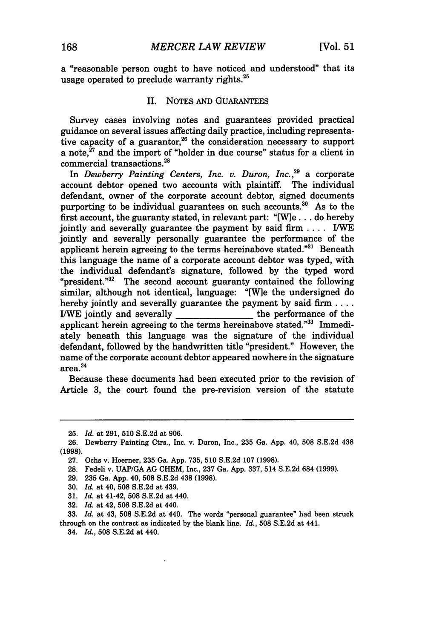a "reasonable person ought to have noticed and understood" that its usage operated to preclude warranty rights. $25$ 

#### II. NOTES AND GUARANTEES

Survey cases involving notes and guarantees provided practical guidance on several issues affecting daily practice, including representative capacity of a guarantor,<sup>26</sup> the consideration necessary to support a note, $^{27}$  and the import of "holder in due course" status for a client in commercial transactions.28

In *Dewberry Painting Centers, Inc. v. Duron, Inc.* **29** a corporate account debtor opened two accounts with plaintiff. The individual defendant, owner of the corporate account debtor, signed documents purporting to be individual guarantees on such accounts.<sup>30</sup> As to the first account, the guaranty stated, in relevant part: "[W]e **...** do hereby jointly and severally guarantee the payment by said firm .... IWE jointly and severally personally guarantee the performance of the applicant herein agreeing to the terms hereinabove stated."31 Beneath this language the name of a corporate account debtor was typed, with the individual defendant's signature, followed by the typed word "president."<sup>32</sup> The second account guaranty contained the following similar, although not identical, language: "[W]e the undersigned do hereby jointly and severally guarantee the payment by said firm **....** I/WE jointly and severally the performance of the applicant herein agreeing to the terms hereinabove stated."33 Immediately beneath this language was the signature of the individual defendant, followed by the handwritten title "president." However, the name of the corporate account debtor appeared nowhere in the signature  $area.<sup>34</sup>$ 

Because these documents had been executed prior to the revision of Article 3, the court found the pre-revision version of the statute

32. *Id.* at 42, 508 S.E.2d at 440.

34. *Id.,* **508 S.E.2d** at 440.

<sup>25.</sup> *Id.* at 291, **510** S.E.2d at 906.

<sup>26.</sup> Dewberry Painting Ctrs., Inc. v. Duron, Inc., **235** Ga. App. 40, 508 S.E.2d 438 (1998).

<sup>27.</sup> Ochs v. Hoerner, 235 Ga. App. 735, 510 S.E.2d 107 (1998).

<sup>28.</sup> Fedeli v. UAP/GA AG CHEM, Inc., 237 Ga. App. 337, 514 S.E.2d 684 (1999).

<sup>29. 235</sup> Ga. App. 40, 508 S.E.2d 438 (1998).

<sup>30.</sup> *Id.* at 40, 508 S.E.2d at 439.

<sup>31.</sup> *Id.* at 41-42, 508 S.E.2d at 440.

**<sup>33.</sup>** *Id.* at 43, **508** S.E.2d at 440. The words "personal guarantee" had been struck through on the contract as indicated **by** the blank line. *Id.,* **508 S.E.2d** at 441.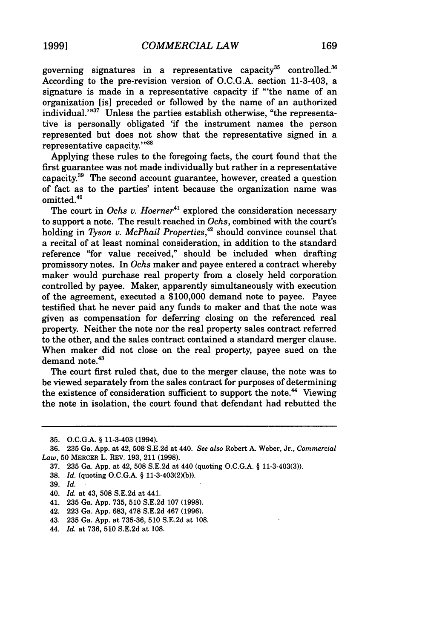governing signatures in a representative capacity $^{35}$  controlled. $^{36}$ According to the pre-revision version of O.C.G.A. section 11-3-403, a signature is made in a representative capacity if "'the name of an organization [is] preceded or followed by the name of an authorized individual.'"<sup>37</sup> Unless the parties establish otherwise, "the representative is personally obligated 'if the instrument names the person represented but does not show that the representative signed in a representative capacity.'"<sup>31</sup>

Applying these rules to the foregoing facts, the court found that the first guarantee was not made individually but rather in a representative capacity.<sup>39</sup> The second account guarantee, however, created a question of fact as to the parties' intent because the organization name was  $omitted.<sup>40</sup>$ 

The court in *Ochs v. Hoerner*<sup>41</sup> explored the consideration necessary to support a note. The result reached in *Ochs,* combined with the court's holding in *Tyson v. McPhail Properties*,<sup>42</sup> should convince counsel that a recital of at least nominal consideration, in addition to the standard reference "for value received," should be included when drafting promissory notes. In *Ochs* maker and payee entered a contract whereby maker would purchase real property from a closely held corporation controlled by payee. Maker, apparently simultaneously with execution of the agreement, executed a \$100,000 demand note to payee. Payee testified that he never paid any funds to maker and that the note was given as compensation for deferring closing on the referenced real property. Neither the note nor the real property sales contract referred to the other, and the sales contract contained a standard merger clause. When maker did not close on the real property, payee sued on the demand note.<sup>43</sup>

The court first ruled that, due to the merger clause, the note was to be viewed separately from the sales contract for purposes of determining the existence of consideration sufficient to support the note.<sup>44</sup> Viewing the note in isolation, the court found that defendant had rebutted the

- 39. *Id.*
- 40. *Id.* at 43, 508 S.E.2d at 441.
- 41. 235 Ga. App. 735, **510** S.E.2d 107 (1998).
- 42. 223 Ga. App. 683, 478 S.E.2d 467 (1996).
- 43. 235 Ga. App. at 735-36, 510 S.E.2d at 108.
- 44. *Id.* at 736, 510 S.E.2d at 108.

<sup>35.</sup> O.C.G.A. § 11-3-403 (1994).

<sup>36. 235</sup> Ga. App. at 42, 508S.E.2d at 440. *See also* Robert A. Weber, Jr., *Commercial Law,* **50** MERCER L. REV. **193,** 211 **(1998).**

<sup>37.</sup> **235** Ga. App. at 42, 508 S.E.2d at 440 (quoting O.C.G.A. § 11-3-403(3)).

<sup>38.</sup> *Id.* (quoting O.C.G.A. § 11-3-403(2)(b)).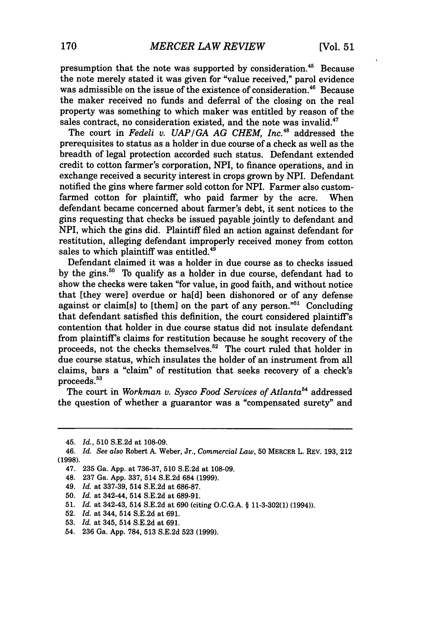presumption that the note was supported by consideration.<sup>45</sup> Because the note merely stated it was given for "value received," parol evidence was admissible on the issue of the existence of consideration.<sup>46</sup> Because the maker received no funds and deferral of the closing on the real property was something to which maker was entitled by reason of the sales contract, no consideration existed, and the note was invalid.<sup>47</sup>

The court in *Fedeli v. UAP/GA AG CHEM, Inc.*<sup>48</sup> addressed the prerequisites to status as a holder in due course of a check as well as the breadth of legal protection accorded such status. Defendant extended credit to cotton farmer's corporation, NPI, to finance operations, and in exchange received a security interest in crops grown by NPI. Defendant notified the gins where farmer sold cotton for NPI. Farmer also customfarmed cotton for plaintiff, who paid farmer by the acre. When defendant became concerned about farmer's debt, it sent notices to the gins requesting that checks be issued payable jointly to defendant and NPI, which the gins did. Plaintiff filed an action against defendant for restitution, alleging defendant improperly received money from cotton sales to which plaintiff was entitled.<sup>49</sup>

Defendant claimed it was a holder in due course as to checks issued by the gins. $50$  To qualify as a holder in due course, defendant had to show the checks were taken "for value, in good faith, and without notice that [they were] overdue or ha[d] been dishonored or of any defense against or claim[s] to [them] on the part of any person."<sup>51</sup> Concluding that defendant satisfied this definition, the court considered plaintiff's contention that holder in due course status did not insulate defendant from plaintiff's claims for restitution because he sought recovery of the proceeds, not the checks themselves.<sup>52</sup> The court ruled that holder in due course status, which insulates the holder of an instrument from all claims, bars a "claim" of restitution that seeks recovery of a check's proceeds.<sup>53</sup>

The court in *Workman v. Sysco Food Services of Atlanta*<sup>54</sup> addressed the question of whether a guarantor was a "compensated surety" and

- 51. *Id.* at 342-43, 514 S.E.2d at 690 (citing O.C.G.A. § 11-3-302(1) (1994)).
- 52. *Id.* at 344, 514 S.E.2d at 691.
- 53. *Id.* at 345, 514 S.E.2d at 691.

<sup>45.</sup> *Id.,* 510 S.E.2d at 108-09.

<sup>46.</sup> *Id. See also* Robert A. Weber, Jr., *Commercial Law,* 50 MERCER L. REV. 193, 212 (1998).

<sup>47. 235</sup> Ga. App. at 736-37, 510 S.E.2d at 108-09.

<sup>48. 237</sup> Ga. App. 337, 514 S.E.2d 684 (1999).

<sup>49.</sup> *Id.* at 337-39, 514 S.E.2d at 686-87.

<sup>50.</sup> *Id.* at 342-44, 514 S.E.2d at 689-91.

<sup>54. 236</sup> Ga. App. 784, 513 S.E.2d 523 (1999).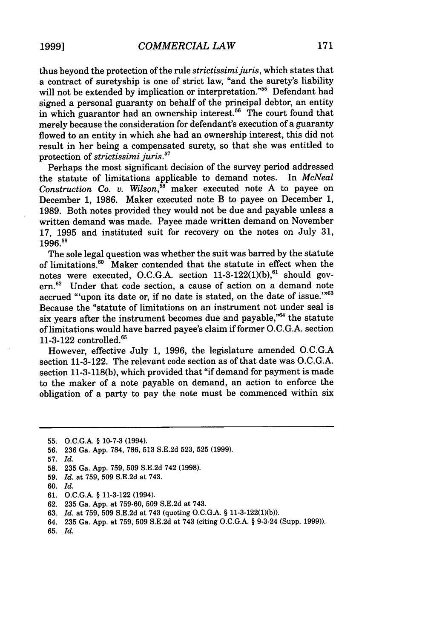thus beyond the protection of the rule *strictissimijuris,* which states that a contract of suretyship is one of strict law, "and the surety's liability will not be extended by implication or interpretation."<sup>55</sup> Defendant had signed a personal guaranty on behalf of the principal debtor, an entity in which guarantor had an ownership interest.<sup>56</sup> The court found that merely because the consideration for defendant's execution of a guaranty flowed to an entity in which she had an ownership interest, this did not result in her being a compensated surety, so that she was entitled to protection of *strictissimi juris.*<sup>57</sup>

Perhaps the most significant decision of the survey period addressed the statute of limitations applicable to demand notes. In *McNeal* Construction Co. v. Wilson,<sup>58</sup> maker executed note A to payee on December 1, 1986. Maker executed note B to payee on December 1, 1989. Both notes provided they would not be due and payable unless a written demand was made. Payee made written demand on November 17, 1995 and instituted suit for recovery on the notes on July 31, 1996.59

The sole legal question was whether the suit was barred by the statute of limitations.<sup>60</sup> Maker contended that the statute in effect when the notes were executed, O.C.G.A. section  $11-3-122(1)(b)$ , should govern.<sup>62</sup> Under that code section, a cause of action on a demand note accrued "'upon its date or, if no date is stated, on the date of issue.""63 Because the "statute of limitations on an instrument not under seal is six years after the instrument becomes due and payable,"64 the statute of limitations would have barred payee's claim if former O.C.G.A. section 11-3-122 controlled.<sup>65</sup>

However, effective July 1, 1996, the legislature amended O.C.G.A section 11-3-122. The relevant code section as of that date was O.C.G.A. section 11-3-118(b), which provided that "if demand for payment is made to the maker of a note payable on demand, an action to enforce the obligation of a party to pay the note must be commenced within six

- 57. *Id.*
- 58. 235 Ga. App. 759, 509 S.E.2d 742 (1998).
- 59. *Id.* at 759, 509 S.E.2d at 743.
- 60. *Id.*
- 61. O.C.G.A. § 11-3-122 (1994).
- 62. 235 Ga. App. at 759-60, 509 S.E.2d at 743.
- 63. *Id.* at 759, 509 S.E.2d at 743 (quoting O.C.G.A. § 11-3-122(1)(b)).
- 64. 235 Ga. App. at 759, 509 S.E.2d at 743 (citing O.C.G.A. § 9-3-24 (Supp. 1999)).
- 65. *Id.*

<sup>55.</sup> O.C.G.A. § 10-7-3 (1994).

<sup>56. 236</sup> Ga. App. 784, 786, 513 S.E.2d 523, 525 (1999).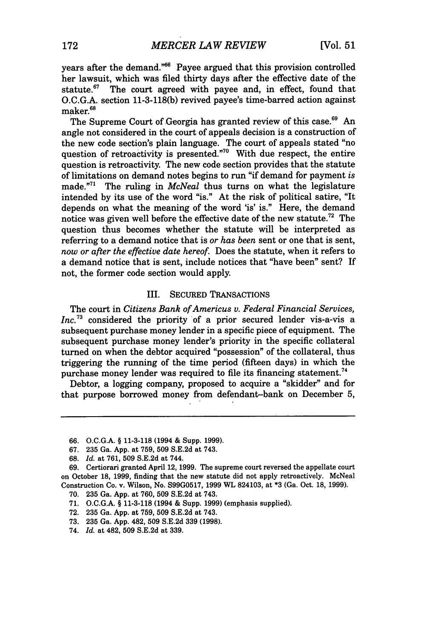years after the demand."<sup>66</sup> Payee argued that this provision controlled her lawsuit, which was filed thirty days after the effective date of the statute. $67$  The court agreed with payee and, in effect, found that O.C.G.A. section 11-3-118(b) revived payee's time-barred action against maker.<sup>68</sup>

The Supreme Court of Georgia has granted review of this case.<sup>69</sup> An angle not considered in the court of appeals decision is a construction of the new code section's plain language. The court of appeals stated "no question of retroactivity is presented."<sup>70</sup> With due respect, the entire question is retroactivity. The new code section provides that the statute of limitations on demand notes begins to run "if demand for payment *is* made.<sup>"71</sup> The ruling in *McNeal* thus turns on what the legislature intended by its use of the word "is." At the risk of political satire, "It depends on what the meaning of the word 'is' is." Here, the demand notice was given well before the effective date of the new statute.<sup>72</sup> The question thus becomes whether the statute will be interpreted as referring to a demand notice that is *or has been* sent or one that is sent, *now or after the effective date hereof.* Does the statute, when it refers to a demand notice that is sent, include notices that "have been" sent? If not, the former code section would apply.

#### III. SECURED TRANSACTIONS

The court in *Citizens Bank of Americus v. Federal Financial Services, Inc.*<sup>73</sup> considered the priority of a prior secured lender vis-a-vis a subsequent purchase money lender in a specific piece of equipment. The subsequent purchase money lender's priority in the specific collateral turned on when the debtor acquired "possession" of the collateral, thus triggering the running of the time period (fifteen days) in which the purchase money lender was required to file its financing statement.<sup>74</sup>

Debtor, a logging company, proposed to acquire a "skidder" and for that purpose borrowed money from defendant-bank on December 5,

- 70. 235 Ga. App. at 760, 509 S.E.2d at 743.
- 71. O.C.G.A. § 11-3-118 (1994 & Supp. 1999) (emphasis supplied).
- 72. 235 Ga. App. at 759, 509 S.E.2d at 743.
- 73. 235 Ga. App. 482, 509 S.E.2d 339 (1998).
- 74. *Id.* at 482, 509 S.E.2d at 339.

<sup>66.</sup> O.C.G.A. § 11-3-118 (1994 & Supp. 1999).

<sup>67. 235</sup> Ga. App. at 759, 509 S.E.2d at 743.

<sup>68.</sup> *Id.* at 761, 509 S.E.2d at 744.

<sup>69.</sup> Certiorari granted April 12, 1999. The supreme court reversed the appellate court on October 18, 1999, finding that the new statute did not apply retroactively. McNeal Construction Co. v. Wilson, No. S99G0517, 1999 WL 824103, at \*3 (Ga. Oct. 18, 1999).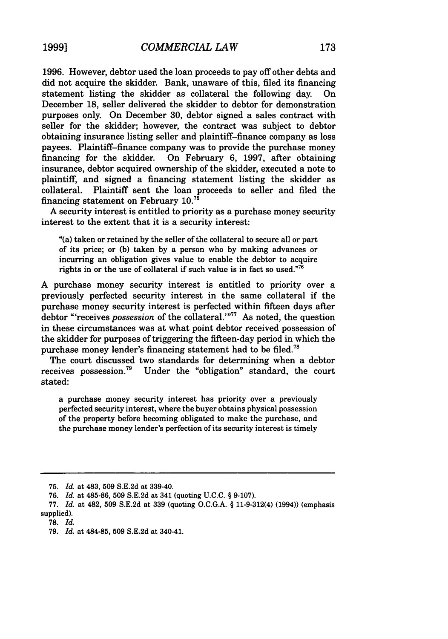**1996.** However, debtor used the loan proceeds to pay off other debts and did not acquire the skidder. Bank, unaware of this, filed its financing statement listing the skidder as collateral the following day. December 18, seller delivered the skidder to debtor for demonstration purposes only. On December 30, debtor signed a sales contract with seller for the skidder; however, the contract was subject to debtor obtaining insurance listing seller and plaintiff-finance company as loss payees. Plaintiff-finance company was to provide the purchase money financing for the skidder. On February 6, 1997, after obtaining insurance, debtor acquired ownership of the skidder, executed a note to plaintiff, and signed a financing statement listing the skidder as collateral. Plaintiff sent the loan proceeds to seller and filed the financing statement on February **10. <sup>7</sup> <sup>5</sup>**

A security interest is entitled to priority as a purchase money security interest to the extent that it is a security interest:

"(a) taken or retained by the seller of the collateral to secure all or part of its price; or **(b)** taken by a person who by making advances or incurring an obligation gives value to enable the debtor to acquire rights in or the use of collateral if such value is in fact so used."76

A purchase money security interest is entitled to priority over a previously perfected security interest in the same collateral if the purchase money security interest is perfected within fifteen days after debtor "receives *possession* of the collateral.'"<sup>77</sup> As noted, the question in these circumstances was at what point debtor received possession of the skidder for purposes of triggering the fifteen-day period in which the purchase money lender's financing statement had to be filed.<sup>78</sup>

The court discussed two standards for determining when a debtor receives possession.79 Under the "obligation" standard, the court stated:

a purchase money security interest has priority over a previously perfected security interest, where the buyer obtains physical possession of the property before becoming obligated to make the purchase, and the purchase money lender's perfection of its security interest is timely

79. *Id.* at 484-85, 509 S.E.2d at 340-41.

<sup>75.</sup> *Id.* at 483, 509 S.E.2d at 339-40.

<sup>76.</sup> *Id.* at 485-86, 509 S.E.2d at 341 (quoting U.C.C. § 9-107).

<sup>77.</sup> *Id.* at 482, 509 S.E.2d at 339 (quoting O.C.G.A. § 11-9-312(4) (1994)) (emphasis supplied).

**<sup>78.</sup>** *Id.*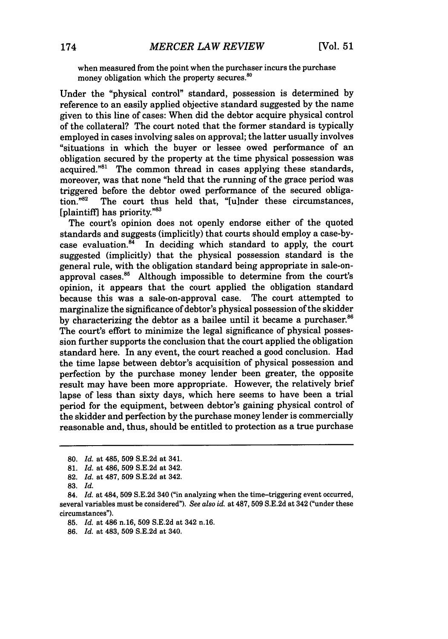when measured from the point when the purchaser incurs the purchase money obligation which the property secures.<sup>86</sup>

Under the "physical control" standard, possession is determined by reference to an easily applied objective standard suggested by the name given to this line of cases: When did the debtor acquire physical control of the collateral? The court noted that the former standard is typically employed in cases involving sales on approval; the latter usually involves "situations in which the buyer or lessee owed performance of an obligation secured by the property at the time physical possession was acquired."<sup>81</sup> The common thread in cases applying these standards, moreover, was that none "held that the running of the grace period was triggered before the debtor owed performance of the secured obligation."<sup>82</sup> The court thus held that. "[ulnder these circumstances, The court thus held that, "[u]nder these circumstances, [plaintiff] has priority."83

The court's opinion does not openly endorse either of the quoted standards and suggests (implicitly) that courts should employ a case-bycase evaluation. $84$  In deciding which standard to apply, the court suggested (implicitly) that the physical possession standard is the general rule, with the obligation standard being appropriate in sale-onapproval cases.<sup>85</sup> Although impossible to determine from the court's opinion, it appears that the court applied the obligation standard because this was a sale-on-approval case. The court attempted to marginalize the significance of debtor's physical possession of the skidder by characterizing the debtor as a bailee until it became a purchaser. $86$ The court's effort to minimize the legal significance of physical possession further supports the conclusion that the court applied the obligation standard here. In any event, the court reached a good conclusion. Had the time lapse between debtor's acquisition of physical possession and perfection by the purchase money lender been greater, the opposite result may have been more appropriate. However, the relatively brief lapse of less than sixty days, which here seems to have been a trial period for the equipment, between debtor's gaining physical control of the skidder and perfection by the purchase money lender is commercially reasonable and, thus, should be entitled to protection as a true purchase

<sup>80.</sup> *Id.* at 485, 509 S.E.2d at 341.

<sup>81.</sup> *Id.* at 486, 509 S.E.2d at 342.

<sup>82.</sup> *Id.* at 487, 509 S.E.2d at 342.

<sup>83.</sup> *Id.*

<sup>84.</sup> *Id.* at 484, 509 S.E.2d 340 ("in analyzing when the time-triggering event occurred, several variables must be considered"). *See also id.* at 487, 509 S.E.2d at 342 ("under these circumstances").

<sup>85.</sup> *Id.* at 486 n.16, **509** S.E.2d at 342 n.16.

<sup>86.</sup> *Id.* at 483, **509** S.E.2d at 340.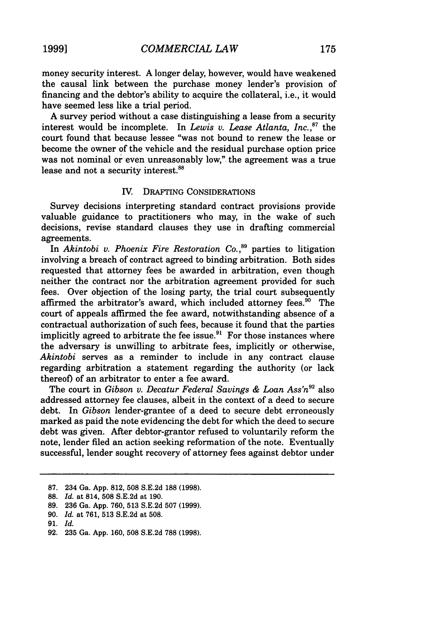money security interest. **A** longer delay, however, would have weakened the causal link between the purchase money lender's provision of financing and the debtor's ability to acquire the collateral, i.e., it would have seemed less like a trial period.

A survey period without a case distinguishing a lease from a security interest would be incomplete. In *Lewis v. Lease Atlanta*, Inc.,<sup>87</sup> the court found that because lessee "was not bound to renew the lease or become the owner of the vehicle and the residual purchase option price was not nominal or even unreasonably low," the agreement was a true lease and not a security interest.<sup>88</sup>

#### IV. DRAFTING CONSIDERATIONS

Survey decisions interpreting standard contract provisions provide valuable guidance to practitioners who may, in the wake of such decisions, revise standard clauses they use in drafting commercial agreements.

In *Akintobi v. Phoenix Fire Restoration Co.*,<sup>89</sup> parties to litigation involving a breach of contract agreed to binding arbitration. Both sides requested that attorney fees be awarded in arbitration, even though neither the contract nor the arbitration agreement provided for such fees. Over objection of the losing party, the trial court subsequently affirmed the arbitrator's award, which included attorney fees. $^{50}$  The court of appeals affirmed the fee award, notwithstanding absence of a contractual authorization of such fees, because it found that the parties implicitly agreed to arbitrate the fee issue.<sup>91</sup> For those instances where the adversary is unwilling to arbitrate fees, implicitly or otherwise, *Akintobi* serves as a reminder to include in any contract clause regarding arbitration a statement regarding the authority (or lack thereof) of an arbitrator to enter a fee award.

The court in *Gibson v. Decatur Federal Savings & Loan Ass'n*<sup>92</sup> also addressed attorney fee clauses, albeit in the context of a deed to secure debt. In *Gibson* lender-grantee of a deed to secure debt erroneously marked as paid the note evidencing the debt for which the deed to secure debt was given. After debtor-grantor refused to voluntarily reform the note, lender filed an action seeking reformation of the note. Eventually successful, lender sought recovery of attorney fees against debtor under

92. 235 Ga. App. 160, 508 S.E.2d 788 (1998).

<sup>87. 234</sup> Ga. App. 812, 508 S.E.2d 188 (1998).

<sup>88.</sup> *Id.* at 814, 508 S.E.2d at 190.

<sup>89. 236</sup> Ga. App. 760, 513 S.E.2d 507 (1999).

<sup>90.</sup> *Id.* at 761, 513 S.E.2d at 508.

<sup>91.</sup> *Id.*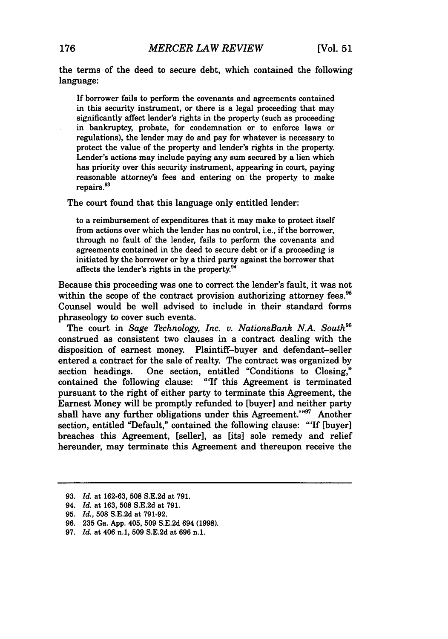the terms of the deed to secure debt, which contained the following language:

If borrower fails to perform the covenants and agreements contained in this security instrument, or there is a legal proceeding that may significantly affect lender's rights in the property (such as proceeding in bankruptcy, probate, for condemnation or to enforce laws or regulations), the lender may do and pay for whatever is necessary to protect the value of the property and lender's rights in the property. Lender's actions may include paying any sum secured by a lien which has priority over this security instrument, appearing in court, paying reasonable attorney's fees and entering on the property to make repairs.<sup>93</sup>

The court found that this language only entitled lender:

to a reimbursement of expenditures that it may make to protect itself from actions over which the lender has no control, i.e., if the borrower, through no fault of the lender, fails to perform the covenants and agreements contained in the deed to secure debt or if a proceeding is initiated **by** the borrower or **by** a third party against the borrower that affects the lender's rights in the property. $94$ 

Because this proceeding was one to correct the lender's fault, it was not within the scope of the contract provision authorizing attorney fees. $95$ Counsel would be well advised to include in their standard forms phraseology to cover such events.

The court in *Sage Technology, Inc. v. NationsBank N.A. South*<sup>96</sup> construed as consistent two clauses in a contract dealing with the disposition of earnest money. Plaintiff-buyer and defendant-seller entered a contract for the sale of realty. The contract was organized by section headings. One section, entitled "Conditions to Closing," contained the following clause: "'If this Agreement is terminated pursuant to the right of either party to terminate this Agreement, the Earnest Money will be promptly refunded to [buyer] and neither party shall have any further obligations under this Agreement.'"97 Another section, entitled "Default," contained the following clause: "'If [buyer] breaches this Agreement, [seller], as [its] sole remedy and relief hereunder, may terminate this Agreement and thereupon receive the

<sup>93.</sup> *Id.* at 162-63, 508 S.E.2d at 791.

<sup>94.</sup> *Id.* at 163, **508** S.E.2d at 791.

<sup>95.</sup> *Id.,* 508 S.E.2d at 791-92.

<sup>96.</sup> 235 Ga. App. 405, 509 S.E.2d 694 (1998).

<sup>97.</sup> *Id.* at 406 n.1, **509** S.E.2d at 696 n.1.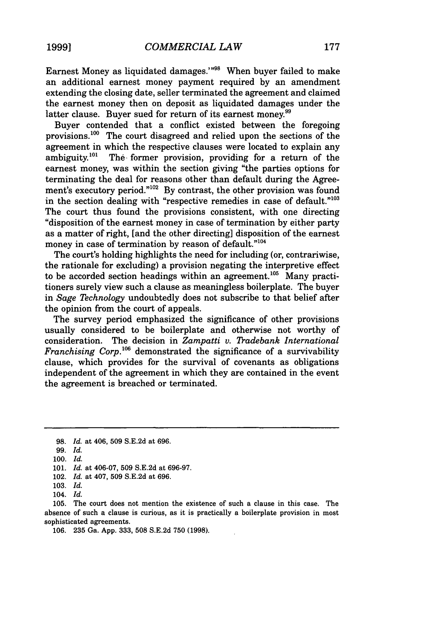Earnest Money as liquidated damages."'98 When buyer failed to make an additional earnest money payment required by an amendment extending the closing date, seller terminated the agreement and claimed the earnest money then on deposit as liquidated damages under the latter clause. Buyer sued for return of its earnest money.<sup>99</sup>

Buyer contended that a conflict existed between the foregoing provisions. $100$  The court disagreed and relied upon the sections of the agreement in which the respective clauses were located to explain any ambiguity.<sup>101</sup> The former provision, providing for a return of the The former provision, providing for a return of the earnest money, was within the section giving "the parties options for terminating the deal for reasons other than default during the Agreement's executory period."<sup>102</sup> By contrast, the other provision was found in the section dealing with "respective remedies in case of default."<sup>103</sup> The court thus found the provisions consistent, with one directing "disposition of the earnest money in case of termination by either party as a matter of right, [and the other directing] disposition of the earnest money in case of termination by reason of default."<sup>104</sup>

The court's holding highlights the need for including (or, contrariwise, the rationale for excluding) a provision negating the interpretive effect to be accorded section headings within an agreement.<sup>105</sup> Many practitioners surely view such a clause as meaningless boilerplate. The buyer in *Sage Technology* undoubtedly does not subscribe to that belief after the opinion from the court of appeals.

The survey period emphasized the significance of other provisions usually considered to be boilerplate and otherwise not worthy of consideration. The decision in *Zampatti v. Tradebank International Franchising Corp.'°6* demonstrated the significance of a survivability clause, which provides for the survival of covenants as obligations independent of the agreement in which they are contained in the event the agreement is breached or terminated.

<sup>98.</sup> *Id.* at 406, 509 S.E.2d at 696.

<sup>99.</sup> *Id.*

<sup>100.</sup> *Id.*

<sup>101.</sup> *Id.* at 406-07, 509 S.E.2d at 696-97.

<sup>102.</sup> *Id.* at 407, 509 S.E.2d at 696.

<sup>103.</sup> *Id.*

<sup>104.</sup> *Id.*

<sup>105.</sup> The court does not mention the existence of such a clause in this case. The absence of such a clause is curious, as it is practically a boilerplate provision in most sophisticated agreements.

<sup>106. 235</sup> Ga. App. 333, 508 S.E.2d 750 (1998).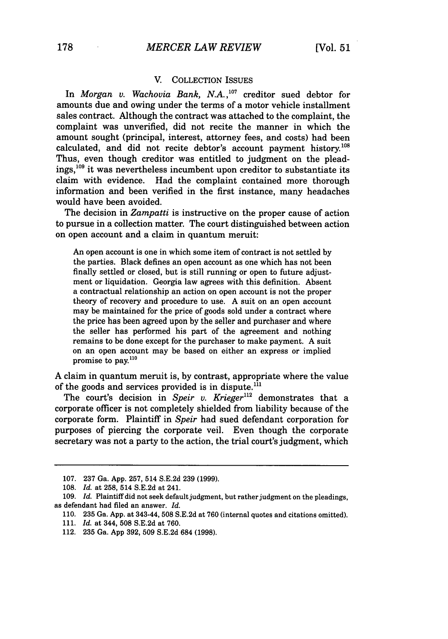#### **V.** COLLECTION **ISSUES**

In *Morgan v. Wachovia Bank, N.A.," ° 7* creditor sued debtor for amounts due and owing under the terms of a motor vehicle installment sales contract. Although the contract was attached to the complaint, the complaint was unverified, did not recite the manner in which the amount sought (principal, interest, attorney fees, and costs) had been calculated, and did not recite debtor's account payment history.<sup>108</sup> Thus, even though creditor was entitled to judgment on the pleadings,<sup>109</sup> it was nevertheless incumbent upon creditor to substantiate its claim with evidence. Had the complaint contained more thorough information and been verified in the first instance, many headaches would have been avoided.

The decision in *Zampatti* is instructive on the proper cause of action to pursue in a collection matter. The court distinguished between action on open account and a claim in quantum meruit:

An open account is one in which some item of contract is not settled **by** the parties. Black defines an open account as one which has not been finally settled or closed, but is still running or open to future adjustment or liquidation. Georgia law agrees with this definition. Absent a contractual relationship an action on open account is not the proper theory of recovery and procedure to use. **A** suit on an open account may be maintained for the price of goods sold under a contract where the price has been agreed upon **by** the seller and purchaser and where the seller has performed his part of the agreement and nothing remains to be done except for the purchaser to make payment. **A** suit on an open account may be based on either an express or implied promise to pay.110

**A** claim in quantum meruit is, **by** contrast, appropriate where the value of the goods and services provided is in dispute.<sup>111</sup>

The court's decision in *Speir v. Krieger"2* demonstrates that a corporate officer is not completely shielded from liability because of the corporate form. Plaintiff in *Speir* had sued defendant corporation for purposes of piercing the corporate veil. Even though the corporate secretary was not a party to the action, the trial court's judgment, which

**<sup>107. 237</sup>** Ga. **App. 257,** 514 **S.E.2d 239 (1999).**

**<sup>108.</sup>** *Id.* at **258,** 514 **S.E.2d** at 241.

**<sup>109.</sup>** *Id.* Plaintiff did not seek default judgment, but rather judgment on the pleadings, as defendant had filed an answer. *Id.*

**<sup>110. 235</sup>** Ga. **App.** at 343-44, 508 **S.E.2d** at **760** (internal quotes and citations omitted).

**<sup>111.</sup>** *Id.* at 344, **508 S.E.2d** at **760.**

<sup>112.</sup> **235** Ga. **App 392, 509 S.E.2d** 684 **(1998).**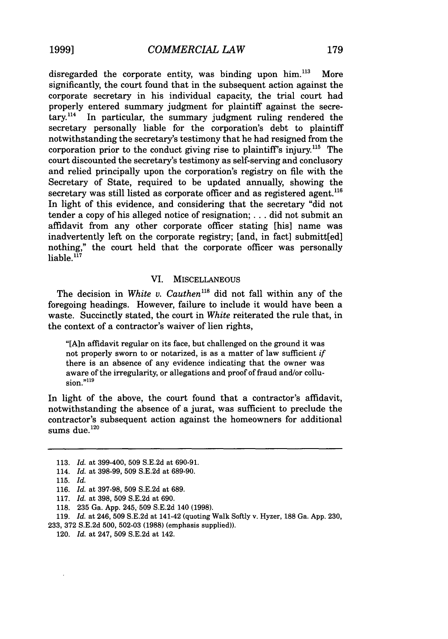**1999]**

disregarded the corporate entity, was binding upon  $\lim_{n \to \infty}$  More significantly, the court found that in the subsequent action against the corporate secretary in his individual capacity, the trial court had properly entered summary judgment for plaintiff against the secretary.<sup>114</sup> In particular, the summary judgment ruling rendered the secretary personally liable for the corporation's debt to plaintiff notwithstanding the secretary's testimony that he had resigned from the corporation prior to the conduct giving rise to plaintiff's injury.<sup>115</sup> The court discounted the secretary's testimony as self-serving and conclusory and relied principally upon the corporation's registry on file with the Secretary of State, required to be updated annually, showing the secretary was still listed as corporate officer and as registered agent.<sup>116</sup> In light of this evidence, and considering that the secretary "did not tender a copy of his alleged notice of resignation; **...** did not submit an affidavit from any other corporate officer stating [his] name was inadvertently left on the corporate registry; [and, in fact] submitt[ed] nothing," the court held that the corporate officer was personally liable.<sup>117</sup>

#### VI. MISCELLANEOUS

The decision in *White v. Cauthen*<sup>118</sup> did not fall within any of the foregoing headings. However, failure to include it would have been a waste. Succinctly stated, the court in *White* reiterated the rule that, in the context of a contractor's waiver of lien rights,

"[A]n affidavit regular on its face, but challenged on the ground it was not properly sworn to or notarized, is as a matter of law sufficient *if* there is an absence of any evidence indicating that the owner was aware of the irregularity, or allegations and proof of fraud and/or collu $sion.$ <sup> $"119$ </sup>

In light of the above, the court found that a contractor's affidavit, notwithstanding the absence of a jurat, was sufficient to preclude the contractor's subsequent action against the homeowners for additional sums due. $120$ 

<sup>113.</sup> *Id.* at 399-400, 509 S.E.2d at 690-91.

<sup>114.</sup> *Id.* at 398-99, 509 S.E.2d at 689-90.

<sup>115.</sup> *Id.*

<sup>116.</sup> *Id.* at 397-98, 509 S.E.2d at 689.

<sup>117.</sup> *Id.* at 398, 509 S.E.2d at 690.

<sup>118. 235</sup> Ga. App. 245, 509 S.E.2d 140 (1998).

<sup>119.</sup> *Id.* at 246, 509 S.E.2d at 141-42 (quoting Walk Softly v. Hyzer, 188 Ga. App. 230, 233, 372 S.E.2d 500, 502-03 (1988) (emphasis supplied)).

<sup>120.</sup> *Id.* at 247, 509 S.E.2d at 142.